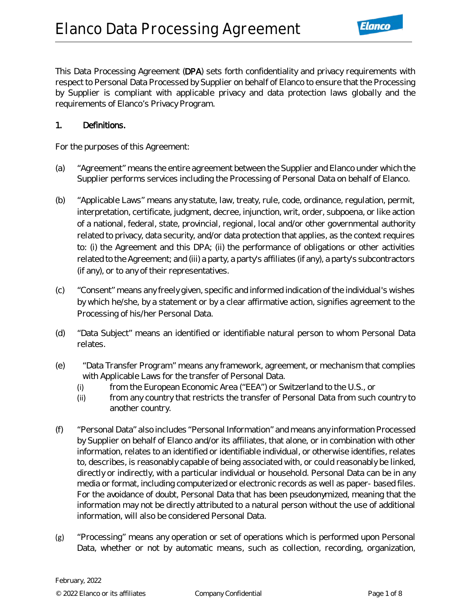This Data Processing Agreement (DPA) sets forth confidentiality and privacy requirements with respect to Personal Data Processed by Supplier on behalf of Elanco to ensure that the Processing by Supplier is compliant with applicable privacy and data protection laws globally and the requirements of Elanco's Privacy Program.

#### 1. Definitions.

For the purposes of this Agreement:

- (a) "Agreement" means the entire agreement between the Supplier and Elanco under which the Supplier performs services including the Processing of Personal Data on behalf of Elanco.
- (b) "Applicable Laws" means any statute, law, treaty, rule, code, ordinance, regulation, permit, interpretation, certificate, judgment, decree, injunction, writ, order, subpoena, or like action of a national, federal, state, provincial, regional, local and/or other governmental authority related to privacy, data security, and/or data protection that applies, as the context requires to: (i) the Agreement and this DPA; (ii) the performance of obligations or other activities related to the Agreement; and (iii) a party, a party's affiliates (if any), a party's subcontractors (if any), or to any of their representatives.
- (c) "Consent" means any freely given, specific and informed indication of the individual's wishes by which he/she, by a statement or by a clear affirmative action, signifies agreement to the Processing of his/her Personal Data.
- (d) "Data Subject" means an identified or identifiable natural person to whom Personal Data relates.
- (e) "Data Transfer Program" means any framework, agreement, or mechanism that complies with Applicable Laws for the transfer of Personal Data.
	- (i) from the European Economic Area ("EEA") or Switzerland to the U.S., or
	- (ii) from any country that restricts the transfer of Personal Data from such country to another country.
- (f) "Personal Data" also includes "Personal Information" and means any information Processed by Supplier on behalf of Elanco and/or its affiliates, that alone, or in combination with other information, relates to an identified or identifiable individual, or otherwise identifies, relates to, describes, is reasonably capable of being associated with, or could reasonably be linked, directly or indirectly, with a particular individual or household. Personal Data can be in any media or format, including computerized or electronic records as well as paper- based files. For the avoidance of doubt, Personal Data that has been pseudonymized, meaning that the information may not be directly attributed to a natural person without the use of additional information, will also be considered Personal Data.
- (g) "Processing" means any operation or set of operations which is performed upon Personal Data, whether or not by automatic means, such as collection, recording, organization,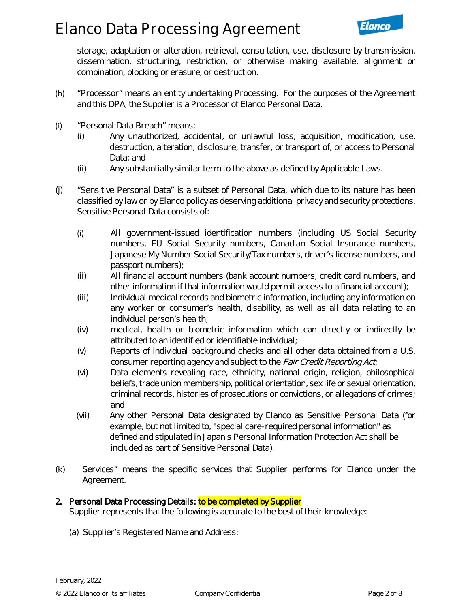storage, adaptation or alteration, retrieval, consultation, use, disclosure by transmission, dissemination, structuring, restriction, or otherwise making available, alignment or combination, blocking or erasure, or destruction.

- (h) "Processor" means an entity undertaking Processing. For the purposes of the Agreement and this DPA, the Supplier is a Processor of Elanco Personal Data.
- (i) "Personal Data Breach" means:
	- (i) Any unauthorized, accidental, or unlawful loss, acquisition, modification, use, destruction, alteration, disclosure, transfer, or transport of, or access to Personal Data; and
	- (ii) Any substantially similar term to the above as defined by Applicable Laws.
- (j) "Sensitive Personal Data" is a subset of Personal Data, which due to its nature has been classified by law or by Elanco policy as deserving additional privacy and security protections. Sensitive Personal Data consists of:
	- (i) All government-issued identification numbers (including US Social Security numbers, EU Social Security numbers, Canadian Social Insurance numbers, Japanese My Number Social Security/Tax numbers, driver's license numbers, and passport numbers);
	- (ii) All financial account numbers (bank account numbers, credit card numbers, and other information if that information would permit access to a financial account);
	- (iii) Individual medical records and biometric information, including any information on any worker or consumer's health, disability, as well as all data relating to an individual person's health;
	- (iv) medical, health or biometric information which can directly or indirectly be attributed to an identified or identifiable individual;
	- (v) Reports of individual background checks and all other data obtained from a U.S. consumer reporting agency and subject to the *Fair Credit Reporting Act*;
	- (vi) Data elements revealing race, ethnicity, national origin, religion, philosophical beliefs, trade union membership, political orientation, sex life or sexual orientation, criminal records, histories of prosecutions or convictions, or allegations of crimes; and
	- (vii) Any other Personal Data designated by Elanco as Sensitive Personal Data (for example, but not limited to, "special care-required personal information" as defined and stipulated in Japan's Personal Information Protection Act shall be included as part of Sensitive Personal Data).
- (k) Services" means the specific services that Supplier performs for Elanco under the Agreement.

## 2. Personal Data Processing Details: to be completed by Supplier

Supplier represents that the following is accurate to the best of their knowledge:

(a) Supplier's Registered Name and Address: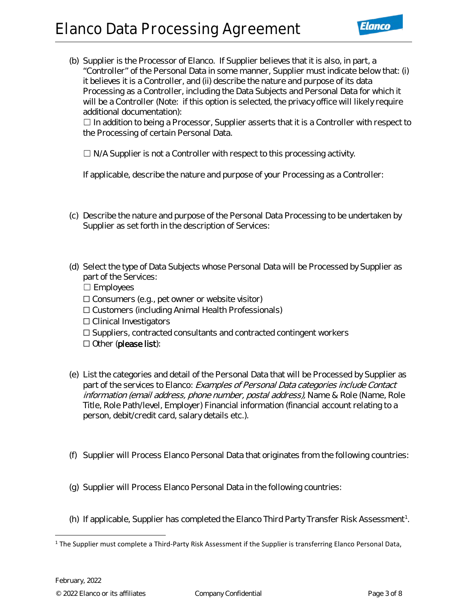## **Elanco Data Processing Agreement**



(b) Supplier is the Processor of Elanco. If Supplier believes that it is also, in part, a "Controller" of the Personal Data in some manner, Supplier must indicate below that: (i) it believes it is a Controller, and (ii) describe the nature and purpose of its data Processing as a Controller, including the Data Subjects and Personal Data for which it will be a Controller (Note: if this option is selected, the privacy office will likely require additional documentation):

□ In addition to being a Processor, Supplier asserts that it is a Controller with respect to the Processing of certain Personal Data.

 $\Box$  N/A Supplier is not a Controller with respect to this processing activity.

If applicable, describe the nature and purpose of your Processing as a Controller:

- (c) Describe the nature and purpose of the Personal Data Processing to be undertaken by Supplier as set forth in the description of Services:
- (d) Select the type of Data Subjects whose Personal Data will be Processed by Supplier as part of the Services: ☐ Employees  $\Box$  Consumers (e.g., pet owner or website visitor) ☐ Customers (including Animal Health Professionals) ☐ Clinical Investigators ☐ Suppliers, contracted consultants and contracted contingent workers ☐ Other (please list):
- (e) List the categories and detail of the Personal Data that will be Processed by Supplier as part of the services to Elanco: Examples of Personal Data categories include Contact information (email address, phone number, postal address), Name & Role (Name, Role Title, Role Path/level, Employer) Financial information (financial account relating to a person, debit/credit card, salary details etc.).
- (f) Supplier will Process Elanco Personal Data that originates from the following countries:
- (g) Supplier will Process Elanco Personal Data in the following countries:
- (h) If applicable, Supplier has completed the Elanco Third Party Transfer Risk Assessment<sup>[1](#page-2-0)</sup>.

<span id="page-2-0"></span> $1$  The Supplier must complete a Third-Party Risk Assessment if the Supplier is transferring Elanco Personal Data,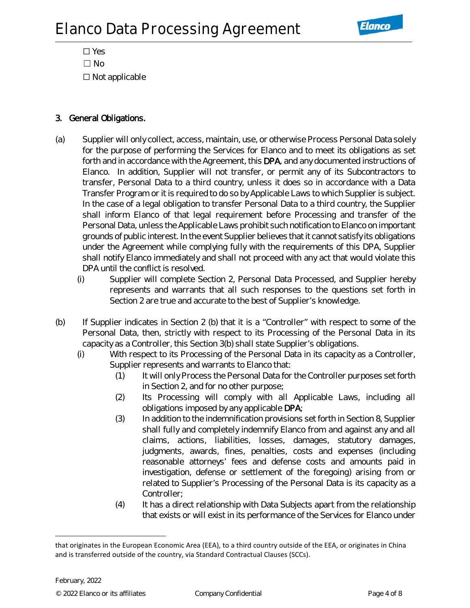

☐ Yes  $\square$  No ☐ Not applicable

## 3. General Obligations.

- (a) Supplier will only collect, access, maintain, use, or otherwise Process Personal Data solely for the purpose of performing the Services for Elanco and to meet its obligations as set forth and in accordance with the Agreement, this DPA, and any documented instructions of Elanco. In addition, Supplier will not transfer, or permit any of its Subcontractors to transfer, Personal Data to a third country, unless it does so in accordance with a Data Transfer Program or it is required to do so by Applicable Laws to which Supplier is subject. In the case of a legal obligation to transfer Personal Data to a third country, the Supplier shall inform Elanco of that legal requirement before Processing and transfer of the Personal Data, unless the Applicable Laws prohibit such notification to Elanco on important grounds of public interest. In the event Supplier believes that it cannot satisfy its obligations under the Agreement while complying fully with the requirements of this DPA, Supplier shall notify Elanco immediately and shall not proceed with any act that would violate this DPA until the conflict is resolved.
	- (i) Supplier will complete Section 2, Personal Data Processed, and Supplier hereby represents and warrants that all such responses to the questions set forth in Section 2 are true and accurate to the best of Supplier's knowledge.
- (b) If Supplier indicates in Section 2 (b) that it is a "Controller" with respect to some of the Personal Data, then, strictly with respect to its Processing of the Personal Data in its capacity as a Controller, this Section 3(b) shall state Supplier's obligations.
	- (i) With respect to its Processing of the Personal Data in its capacity as a Controller, Supplier represents and warrants to Elanco that:
		- (1) It will only Process the Personal Data for the Controller purposes set forth in Section 2, and for no other purpose;
		- (2) Its Processing will comply with all Applicable Laws, including all obligations imposed by any applicable DPA;
		- (3) In addition to the indemnification provisions set forth in Section 8, Supplier shall fully and completely indemnify Elanco from and against any and all claims, actions, liabilities, losses, damages, statutory damages, judgments, awards, fines, penalties, costs and expenses (including reasonable attorneys' fees and defense costs and amounts paid in investigation, defense or settlement of the foregoing) arising from or related to Supplier's Processing of the Personal Data is its capacity as a Controller;
		- (4) It has a direct relationship with Data Subjects apart from the relationship that exists or will exist in its performance of the Services for Elanco under

that originates in the European Economic Area (EEA), to a third country outside of the EEA, or originates in China and is transferred outside of the country, via Standard Contractual Clauses (SCCs).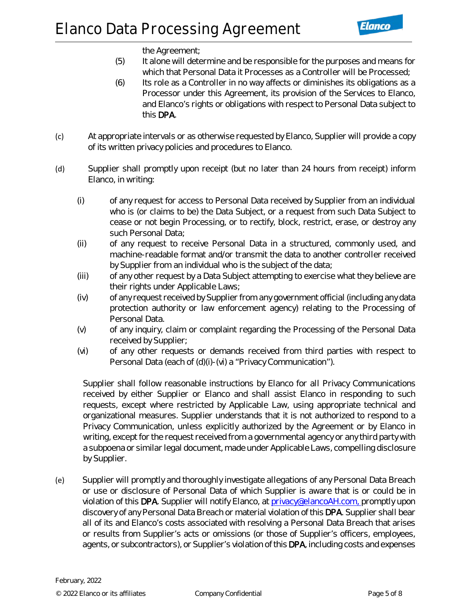the Agreement;

- (5) It alone will determine and be responsible for the purposes and means for which that Personal Data it Processes as a Controller will be Processed;
- (6) Its role as a Controller in no way affects or diminishes its obligations as a Processor under this Agreement, its provision of the Services to Elanco, and Elanco's rights or obligations with respect to Personal Data subject to this DPA.
- (c) At appropriate intervals or as otherwise requested by Elanco, Supplier will provide a copy of its written privacy policies and procedures to Elanco.
- (d) Supplier shall promptly upon receipt (but no later than 24 hours from receipt) inform Elanco, in writing:
	- (i) of any request for access to Personal Data received by Supplier from an individual who is (or claims to be) the Data Subject, or a request from such Data Subject to cease or not begin Processing, or to rectify, block, restrict, erase, or destroy any such Personal Data;
	- (ii) of any request to receive Personal Data in a structured, commonly used, and machine-readable format and/or transmit the data to another controller received by Supplier from an individual who is the subject of the data;
	- (iii) of any other request by a Data Subject attempting to exercise what they believe are their rights under Applicable Laws;
	- (iv) of any request received by Supplier from any government official (including any data protection authority or law enforcement agency) relating to the Processing of Personal Data.
	- (v) of any inquiry, claim or complaint regarding the Processing of the Personal Data received by Supplier;
	- (vi) of any other requests or demands received from third parties with respect to Personal Data (each of (d)(i)-(vi) a "Privacy Communication").

Supplier shall follow reasonable instructions by Elanco for all Privacy Communications received by either Supplier or Elanco and shall assist Elanco in responding to such requests, except where restricted by Applicable Law, using appropriate technical and organizational measures. Supplier understands that it is not authorized to respond to a Privacy Communication, unless explicitly authorized by the Agreement or by Elanco in writing, except for the request received from a governmental agency or any third party with a subpoena or similar legal document, made under Applicable Laws, compelling disclosure by Supplier.

(e) Supplier will promptly and thoroughly investigate allegations of any Personal Data Breach or use or disclosure of Personal Data of which Supplier is aware that is or could be in violation of this DPA. Supplier will notify Elanco, at [privacy@elancoAH.com, p](mailto:privacy@elancoAH.com,)romptly upon discovery of any Personal Data Breach or material violation of this DPA. Supplier shall bear all of its and Elanco's costs associated with resolving a Personal Data Breach that arises or results from Supplier's acts or omissions (or those of Supplier's officers, employees, agents, or subcontractors), or Supplier's violation of this DPA, including costs and expenses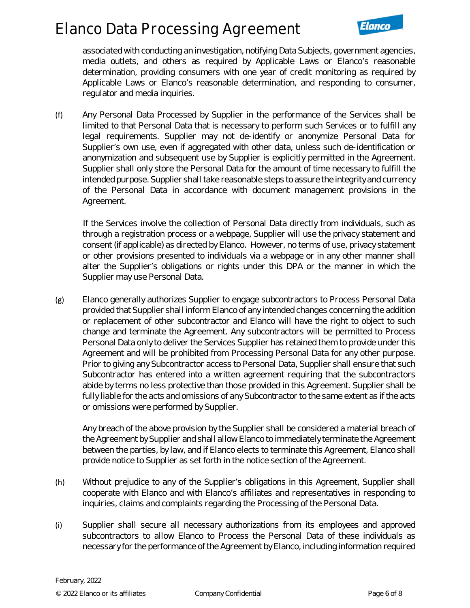## **Elanco Data Processing Agreement**

associated with conducting an investigation, notifying Data Subjects, government agencies, media outlets, and others as required by Applicable Laws or Elanco's reasonable determination, providing consumers with one year of credit monitoring as required by Applicable Laws or Elanco's reasonable determination, and responding to consumer, regulator and media inquiries.

(f) Any Personal Data Processed by Supplier in the performance of the Services shall be limited to that Personal Data that is necessary to perform such Services or to fulfill any legal requirements. Supplier may not de-identify or anonymize Personal Data for Supplier's own use, even if aggregated with other data, unless such de-identification or anonymization and subsequent use by Supplier is explicitly permitted in the Agreement. Supplier shall only store the Personal Data for the amount of time necessary to fulfill the intended purpose. Supplier shall take reasonable steps to assure the integrity and currency of the Personal Data in accordance with document management provisions in the Agreement.

If the Services involve the collection of Personal Data directly from individuals, such as through a registration process or a webpage, Supplier will use the privacy statement and consent (if applicable) as directed by Elanco. However, no terms of use, privacy statement or other provisions presented to individuals via a webpage or in any other manner shall alter the Supplier's obligations or rights under this DPA or the manner in which the Supplier may use Personal Data.

(g) Elanco generally authorizes Supplier to engage subcontractors to Process Personal Data provided that Supplier shall inform Elanco of any intended changes concerning the addition or replacement of other subcontractor and Elanco will have the right to object to such change and terminate the Agreement. Any subcontractors will be permitted to Process Personal Data only to deliver the Services Supplier has retained them to provide under this Agreement and will be prohibited from Processing Personal Data for any other purpose. Prior to giving any Subcontractor access to Personal Data, Supplier shall ensure that such Subcontractor has entered into a written agreement requiring that the subcontractors abide by terms no less protective than those provided in this Agreement. Supplier shall be fully liable for the acts and omissions of any Subcontractor to the same extent as if the acts or omissions were performed by Supplier.

Any breach of the above provision by the Supplier shall be considered a material breach of the Agreement by Supplier and shall allow Elanco to immediately terminate the Agreement between the parties, by law, and if Elanco elects to terminate this Agreement, Elanco shall provide notice to Supplier as set forth in the notice section of the Agreement.

- (h) Without prejudice to any of the Supplier's obligations in this Agreement, Supplier shall cooperate with Elanco and with Elanco's affiliates and representatives in responding to inquiries, claims and complaints regarding the Processing of the Personal Data.
- (i) Supplier shall secure all necessary authorizations from its employees and approved subcontractors to allow Elanco to Process the Personal Data of these individuals as necessary for the performance of the Agreement by Elanco, including information required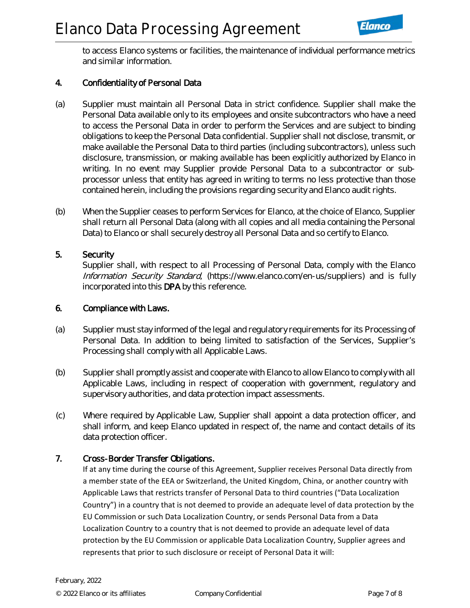

to access Elanco systems or facilities, the maintenance of individual performance metrics and similar information.

### 4. Confidentiality of Personal Data

- (a) Supplier must maintain all Personal Data in strict confidence. Supplier shall make the Personal Data available only to its employees and onsite subcontractors who have a need to access the Personal Data in order to perform the Services and are subject to binding obligations to keep the Personal Data confidential. Supplier shall not disclose, transmit, or make available the Personal Data to third parties (including subcontractors), unless such disclosure, transmission, or making available has been explicitly authorized by Elanco in writing. In no event may Supplier provide Personal Data to a subcontractor or subprocessor unless that entity has agreed in writing to terms no less protective than those contained herein, including the provisions regarding security and Elanco audit rights.
- (b) When the Supplier ceases to perform Services for Elanco, at the choice of Elanco, Supplier shall return all Personal Data (along with all copies and all media containing the Personal Data) to Elanco or shall securely destroy all Personal Data and so certify to Elanco.

#### 5. Security

Supplier shall, with respect to all Processing of Personal Data, comply with the Elanco Information Security Standard, (https://www.elanco.com/en-us/suppliers) and is fully incorporated into this DPA by this reference.

#### 6. Compliance with Laws.

- (a) Supplier must stay informed of the legal and regulatory requirements for its Processing of Personal Data. In addition to being limited to satisfaction of the Services, Supplier's Processing shall comply with all Applicable Laws.
- (b) Supplier shall promptly assist and cooperate with Elanco to allow Elanco to comply with all Applicable Laws, including in respect of cooperation with government, regulatory and supervisory authorities, and data protection impact assessments.
- (c) Where required by Applicable Law, Supplier shall appoint a data protection officer, and shall inform, and keep Elanco updated in respect of, the name and contact details of its data protection officer.

#### 7. Cross-Border Transfer Obligations.

If at any time during the course of this Agreement, Supplier receives Personal Data directly from a member state of the EEA or Switzerland, the United Kingdom, China, or another country with Applicable Laws that restricts transfer of Personal Data to third countries ("Data Localization Country") in a country that is not deemed to provide an adequate level of data protection by the EU Commission or such Data Localization Country, or sends Personal Data from a Data Localization Country to a country that is not deemed to provide an adequate level of data protection by the EU Commission or applicable Data Localization Country, Supplier agrees and represents that prior to such disclosure or receipt of Personal Data it will: